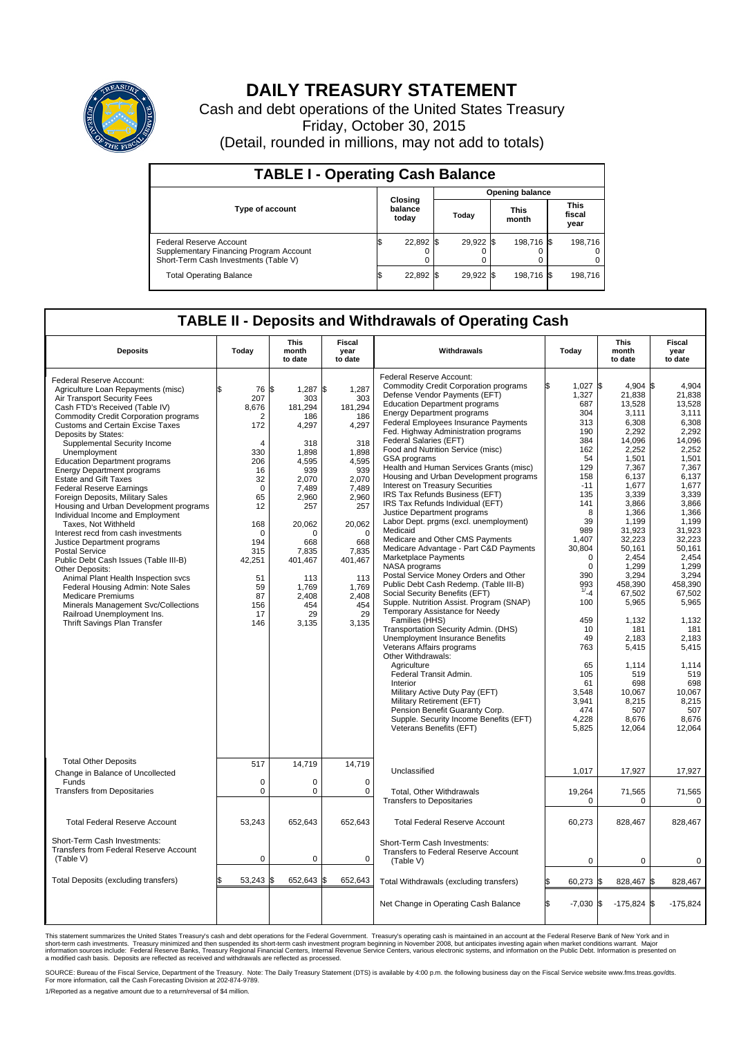

## **DAILY TREASURY STATEMENT**

Cash and debt operations of the United States Treasury Friday, October 30, 2015 (Detail, rounded in millions, may not add to totals)

| <b>TABLE I - Operating Cash Balance</b>                                                                     |    |                             |     |                        |  |                      |  |                               |  |  |  |
|-------------------------------------------------------------------------------------------------------------|----|-----------------------------|-----|------------------------|--|----------------------|--|-------------------------------|--|--|--|
|                                                                                                             |    |                             |     | <b>Opening balance</b> |  |                      |  |                               |  |  |  |
| <b>Type of account</b>                                                                                      |    | Closing<br>balance<br>today |     | Today                  |  | <b>This</b><br>month |  | <b>This</b><br>fiscal<br>year |  |  |  |
| Federal Reserve Account<br>Supplementary Financing Program Account<br>Short-Term Cash Investments (Table V) |    | 22,892                      | 1\$ | 29,922 \$              |  | 198,716 \$           |  | 198.716                       |  |  |  |
| <b>Total Operating Balance</b>                                                                              | ß. | 22,892 \$                   |     | 29,922 \$              |  | 198,716 \$           |  | 198,716                       |  |  |  |

## **TABLE II - Deposits and Withdrawals of Operating Cash**

| <b>Deposits</b>                                                                                                                                                                                                                                                                                                                                                                                                                                                                                                                                                                                                                                                                                                                                                                                                                                                                                                                                                    | Today                                                                                                                                                                                     | This<br>month<br>to date                                                                                                                                                                                            | Fiscal<br>year<br>to date                                                                                                                                                                                 | Withdrawals                                                                                                                                                                                                                                                                                                                                                                                                                                                                                                                                                                                                                                                                                                                                                                                                                                                                                                                                                                                                                                                                                                                                                                                                                                                                                                                                         | Today |                                                                                                                                                                                                                                                                                                 | This<br>month<br>to date                                                                                                                                                                                                                                                                                                                               | Fiscal<br>year<br>to date                                                                                                                                                                                                                                                                                                                    |  |
|--------------------------------------------------------------------------------------------------------------------------------------------------------------------------------------------------------------------------------------------------------------------------------------------------------------------------------------------------------------------------------------------------------------------------------------------------------------------------------------------------------------------------------------------------------------------------------------------------------------------------------------------------------------------------------------------------------------------------------------------------------------------------------------------------------------------------------------------------------------------------------------------------------------------------------------------------------------------|-------------------------------------------------------------------------------------------------------------------------------------------------------------------------------------------|---------------------------------------------------------------------------------------------------------------------------------------------------------------------------------------------------------------------|-----------------------------------------------------------------------------------------------------------------------------------------------------------------------------------------------------------|-----------------------------------------------------------------------------------------------------------------------------------------------------------------------------------------------------------------------------------------------------------------------------------------------------------------------------------------------------------------------------------------------------------------------------------------------------------------------------------------------------------------------------------------------------------------------------------------------------------------------------------------------------------------------------------------------------------------------------------------------------------------------------------------------------------------------------------------------------------------------------------------------------------------------------------------------------------------------------------------------------------------------------------------------------------------------------------------------------------------------------------------------------------------------------------------------------------------------------------------------------------------------------------------------------------------------------------------------------|-------|-------------------------------------------------------------------------------------------------------------------------------------------------------------------------------------------------------------------------------------------------------------------------------------------------|--------------------------------------------------------------------------------------------------------------------------------------------------------------------------------------------------------------------------------------------------------------------------------------------------------------------------------------------------------|----------------------------------------------------------------------------------------------------------------------------------------------------------------------------------------------------------------------------------------------------------------------------------------------------------------------------------------------|--|
| Federal Reserve Account:<br>Agriculture Loan Repayments (misc)<br>Air Transport Security Fees<br>Cash FTD's Received (Table IV)<br><b>Commodity Credit Corporation programs</b><br><b>Customs and Certain Excise Taxes</b><br>Deposits by States:<br>Supplemental Security Income<br>Unemployment<br><b>Education Department programs</b><br><b>Energy Department programs</b><br><b>Estate and Gift Taxes</b><br><b>Federal Reserve Earnings</b><br>Foreign Deposits, Military Sales<br>Housing and Urban Development programs<br>Individual Income and Employment<br>Taxes. Not Withheld<br>Interest recd from cash investments<br>Justice Department programs<br><b>Postal Service</b><br>Public Debt Cash Issues (Table III-B)<br>Other Deposits:<br>Animal Plant Health Inspection svcs<br>Federal Housing Admin: Note Sales<br><b>Medicare Premiums</b><br>Minerals Management Svc/Collections<br>Railroad Unemployment Ins.<br>Thrift Savings Plan Transfer | \$<br>76<br>207<br>8,676<br>$\overline{2}$<br>172<br>4<br>330<br>206<br>16<br>32<br>$\Omega$<br>65<br>12<br>168<br>$\Omega$<br>194<br>315<br>42,251<br>51<br>59<br>87<br>156<br>17<br>146 | l\$<br>1,287 \$<br>303<br>181,294<br>186<br>4,297<br>318<br>1.898<br>4,595<br>939<br>2,070<br>7.489<br>2.960<br>257<br>20,062<br>$\Omega$<br>668<br>7,835<br>401,467<br>113<br>1,769<br>2.408<br>454<br>29<br>3,135 | 1,287<br>303<br>181,294<br>186<br>4,297<br>318<br>1.898<br>4,595<br>939<br>2,070<br>7,489<br>2.960<br>257<br>20,062<br>$\Omega$<br>668<br>7,835<br>401,467<br>113<br>1,769<br>2.408<br>454<br>29<br>3,135 | Federal Reserve Account:<br><b>Commodity Credit Corporation programs</b><br>Defense Vendor Payments (EFT)<br><b>Education Department programs</b><br><b>Energy Department programs</b><br>Federal Employees Insurance Payments<br>Fed. Highway Administration programs<br>Federal Salaries (EFT)<br>Food and Nutrition Service (misc)<br>GSA programs<br>Health and Human Services Grants (misc)<br>Housing and Urban Development programs<br>Interest on Treasury Securities<br>IRS Tax Refunds Business (EFT)<br>IRS Tax Refunds Individual (EFT)<br>Justice Department programs<br>Labor Dept. prgms (excl. unemployment)<br>Medicaid<br>Medicare and Other CMS Payments<br>Medicare Advantage - Part C&D Payments<br>Marketplace Payments<br><b>NASA</b> programs<br>Postal Service Money Orders and Other<br>Public Debt Cash Redemp. (Table III-B)<br>Social Security Benefits (EFT)<br>Supple. Nutrition Assist. Program (SNAP)<br>Temporary Assistance for Needy<br>Families (HHS)<br>Transportation Security Admin. (DHS)<br>Unemployment Insurance Benefits<br>Veterans Affairs programs<br>Other Withdrawals:<br>Agriculture<br>Federal Transit Admin.<br>Interior<br>Military Active Duty Pay (EFT)<br>Military Retirement (EFT)<br>Pension Benefit Guaranty Corp.<br>Supple. Security Income Benefits (EFT)<br>Veterans Benefits (EFT) |       | 1,027<br>1,327<br>687<br>304<br>313<br>190<br>384<br>162<br>54<br>129<br>158<br>$-11$<br>135<br>141<br>8<br>39<br>989<br>1.407<br>30,804<br>$\Omega$<br>$\mathbf 0$<br>390<br>993<br>$^{17} - 4$<br>100<br>459<br>10<br>49<br>763<br>65<br>105<br>61<br>3,548<br>3,941<br>474<br>4,228<br>5,825 | l\$<br>4,904 \$<br>21,838<br>13,528<br>3,111<br>6,308<br>2,292<br>14.096<br>2,252<br>1,501<br>7,367<br>6,137<br>1,677<br>3,339<br>3,866<br>1,366<br>1,199<br>31,923<br>32,223<br>50,161<br>2,454<br>1.299<br>3,294<br>458,390<br>67,502<br>5,965<br>1,132<br>181<br>2,183<br>5,415<br>1,114<br>519<br>698<br>10,067<br>8,215<br>507<br>8,676<br>12,064 | 4,904<br>21,838<br>13.528<br>3,111<br>6.308<br>2,292<br>14.096<br>2,252<br>1,501<br>7,367<br>6,137<br>1,677<br>3,339<br>3.866<br>1,366<br>1,199<br>31,923<br>32,223<br>50,161<br>2,454<br>1.299<br>3,294<br>458,390<br>67,502<br>5,965<br>1,132<br>181<br>2,183<br>5,415<br>1,114<br>519<br>698<br>10,067<br>8,215<br>507<br>8,676<br>12,064 |  |
| <b>Total Other Deposits</b><br>Change in Balance of Uncollected<br>Funds<br><b>Transfers from Depositaries</b>                                                                                                                                                                                                                                                                                                                                                                                                                                                                                                                                                                                                                                                                                                                                                                                                                                                     | 517<br>$\Omega$<br>$\mathbf 0$                                                                                                                                                            | 14,719<br>$\Omega$<br>$\mathbf 0$                                                                                                                                                                                   | 14,719<br>$\Omega$<br>$\mathbf 0$                                                                                                                                                                         | Unclassified<br>Total, Other Withdrawals<br><b>Transfers to Depositaries</b>                                                                                                                                                                                                                                                                                                                                                                                                                                                                                                                                                                                                                                                                                                                                                                                                                                                                                                                                                                                                                                                                                                                                                                                                                                                                        |       | 1,017<br>19,264<br>0                                                                                                                                                                                                                                                                            | 17,927<br>71,565<br>$\mathbf 0$                                                                                                                                                                                                                                                                                                                        | 17,927<br>71,565<br>$\mathbf 0$                                                                                                                                                                                                                                                                                                              |  |
| <b>Total Federal Reserve Account</b>                                                                                                                                                                                                                                                                                                                                                                                                                                                                                                                                                                                                                                                                                                                                                                                                                                                                                                                               | 53,243                                                                                                                                                                                    | 652,643                                                                                                                                                                                                             | 652,643                                                                                                                                                                                                   | <b>Total Federal Reserve Account</b>                                                                                                                                                                                                                                                                                                                                                                                                                                                                                                                                                                                                                                                                                                                                                                                                                                                                                                                                                                                                                                                                                                                                                                                                                                                                                                                |       | 60,273                                                                                                                                                                                                                                                                                          | 828,467                                                                                                                                                                                                                                                                                                                                                | 828,467                                                                                                                                                                                                                                                                                                                                      |  |
| Short-Term Cash Investments:<br>Transfers from Federal Reserve Account<br>(Table V)                                                                                                                                                                                                                                                                                                                                                                                                                                                                                                                                                                                                                                                                                                                                                                                                                                                                                | $\mathbf 0$                                                                                                                                                                               | $\mathbf 0$                                                                                                                                                                                                         | $\mathbf 0$                                                                                                                                                                                               | Short-Term Cash Investments:<br>Transfers to Federal Reserve Account<br>(Table V)                                                                                                                                                                                                                                                                                                                                                                                                                                                                                                                                                                                                                                                                                                                                                                                                                                                                                                                                                                                                                                                                                                                                                                                                                                                                   |       | $\mathbf 0$                                                                                                                                                                                                                                                                                     | 0                                                                                                                                                                                                                                                                                                                                                      | $\Omega$                                                                                                                                                                                                                                                                                                                                     |  |
| Total Deposits (excluding transfers)                                                                                                                                                                                                                                                                                                                                                                                                                                                                                                                                                                                                                                                                                                                                                                                                                                                                                                                               | 53,243 \$                                                                                                                                                                                 | 652,643 \$                                                                                                                                                                                                          | 652,643                                                                                                                                                                                                   | Total Withdrawals (excluding transfers)                                                                                                                                                                                                                                                                                                                                                                                                                                                                                                                                                                                                                                                                                                                                                                                                                                                                                                                                                                                                                                                                                                                                                                                                                                                                                                             |       | 60,273                                                                                                                                                                                                                                                                                          | l\$<br>828,467 \$                                                                                                                                                                                                                                                                                                                                      | 828,467                                                                                                                                                                                                                                                                                                                                      |  |
|                                                                                                                                                                                                                                                                                                                                                                                                                                                                                                                                                                                                                                                                                                                                                                                                                                                                                                                                                                    |                                                                                                                                                                                           |                                                                                                                                                                                                                     |                                                                                                                                                                                                           | Net Change in Operating Cash Balance                                                                                                                                                                                                                                                                                                                                                                                                                                                                                                                                                                                                                                                                                                                                                                                                                                                                                                                                                                                                                                                                                                                                                                                                                                                                                                                | \$.   | l\$<br>$-7.030$                                                                                                                                                                                                                                                                                 | $-175,824$ \$                                                                                                                                                                                                                                                                                                                                          | $-175,824$                                                                                                                                                                                                                                                                                                                                   |  |

This statement summarizes the United States Treasury's cash and debt operations for the Federal Government. Treasury's operating cash is maintained in an account at the Federal Reserve Bank of New York and in<br>short-term ca

SOURCE: Bureau of the Fiscal Service, Department of the Treasury. Note: The Daily Treasury Statement (DTS) is available by 4:00 p.m. the following business day on the Fiscal Service website www.fms.treas.gov/dts.<br>For more

1/Reported as a negative amount due to a return/reversal of \$4 million.